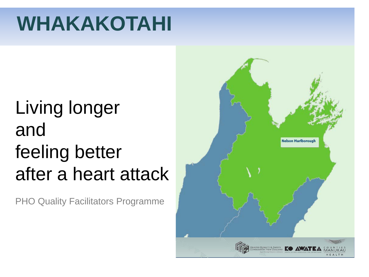# **WHAKAKOTAHI**

# Living longer and feeling better after a heart attack

PHO Quality Facilitators Programme

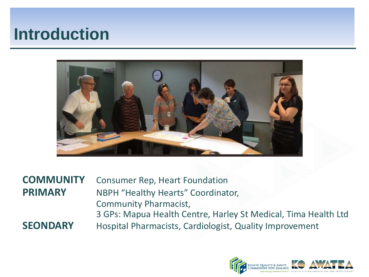### **Introduction**



**COMMUNITY** Consumer Rep, Heart Foundation **PRIMARY** NBPH "Healthy Hearts" Coordinator, Community Pharmacist, 3 GPs: Mapua Health Centre, Harley St Medical, Tima Health Ltd **SEONDARY** Hospital Pharmacists, Cardiologist, Quality Improvement

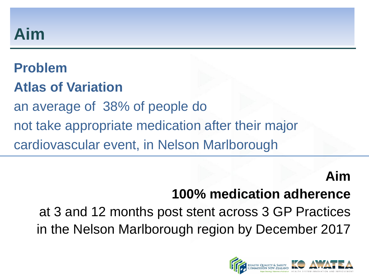### **Aim**

# **Problem**

### **Atlas of Variation**

an average of 38% of people do

not take appropriate medication after their major

cardiovascular event, in Nelson Marlborough

### **Aim**

### **100% medication adherence**

at 3 and 12 months post stent across 3 GP Practices in the Nelson Marlborough region by December 2017

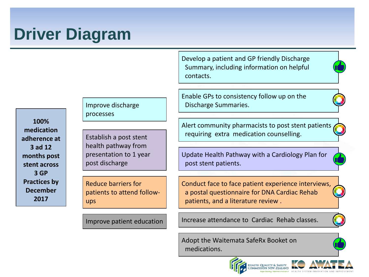## **Driver Diagram**

Develop a patient and GP friendly Discharge Summary, including information on helpful contacts.

Enable GPs to consistency follow up on the Discharge Summaries.

Alert community pharmacists to post stent patients requiring extra medication counselling.

Update Health Pathway with a Cardiology Plan for post stent patients.

Conduct face to face patient experience interviews, a postal questionnaire for DNA Cardiac Rehab patients, and a literature review .

Increase attendance to Cardiac Rehab classes.

Adopt the Waitemata SafeRx Booket on medications.





**100% medication adherence at 3 ad 12 months post stent across 3 GP Practices by December 2017**

Improve discharge processes

Establish a post stent health pathway from presentation to 1 year post discharge

Reduce barriers for patients to attend followups

Improve patient education

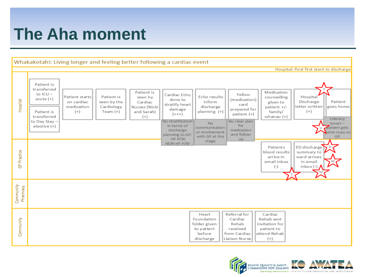### **The Aha moment**



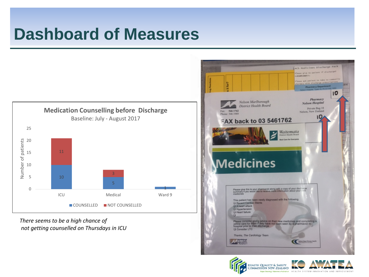

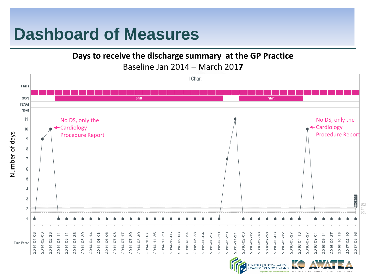**Days to receive the discharge summary at the GP Practice**

Baseline Jan 2014 – March 201**7**



Commission New Zealand

H SYSTEM INNOVATION AND IMPROVEMEN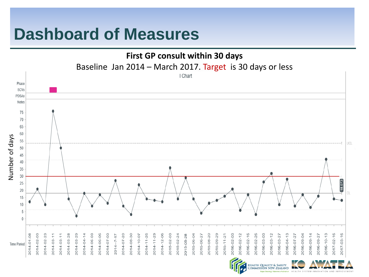#### **First GP consult within 30 days**

Baseline Jan 2014 – March 2017. Target is 30 days or less



HEALTH SYSTEM INNOVATION AND IMPROVEMEN

**HEALTH QUALITY & SAFETY** COMMISSION NEW ZEALAND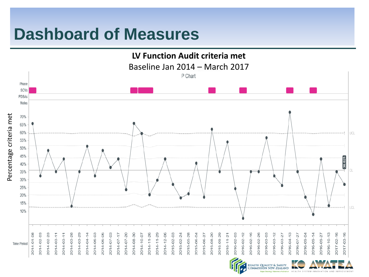

HEALTH QUALITY & SAFETY<br>COMMISSION NEW ZEALAND

HEALTH SYSTEM INNOVATION AND IMPROVEMENT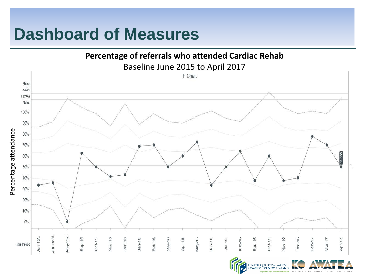

COMMISSION NEW ZEALAND HEALTH SYSTEM INNOVATION AND IMPROVEMENT

**HEALTH QUALITY & SAFETY**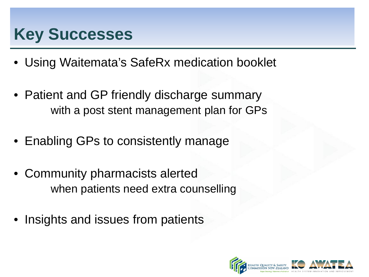### **Key Successes**

- Using Waitemata's SafeRx medication booklet
- Patient and GP friendly discharge summary with a post stent management plan for GPs
- Enabling GPs to consistently manage
- Community pharmacists alerted when patients need extra counselling
- Insights and issues from patients

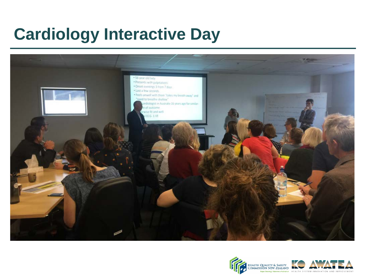## **Cardiology Interactive Day**



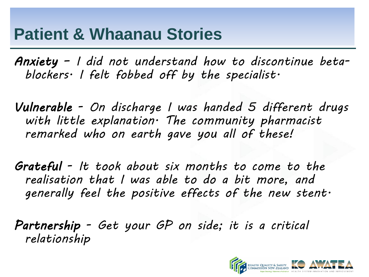### **Patient & Whaanau Stories**

*Anxiety – I did not understand how to discontinue betablockers. I felt fobbed off by the specialist.*

*Vulnerable - On discharge I was handed 5 different drugs with little explanation. The community pharmacist remarked who on earth gave you all of these!* 

*Grateful - It took about six months to come to the realisation that I was able to do a bit more, and generally feel the positive effects of the new stent.*

*Partnership - Get your GP on side; it is a critical relationship*

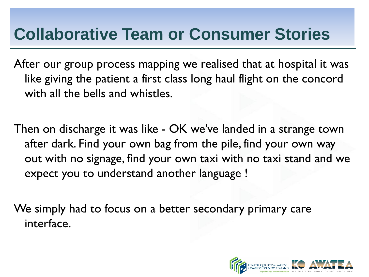### **Collaborative Team or Consumer Stories**

After our group process mapping we realised that at hospital it was like giving the patient a first class long haul flight on the concord with all the bells and whistles.

Then on discharge it was like - OK we've landed in a strange town after dark. Find your own bag from the pile, find your own way out with no signage, find your own taxi with no taxi stand and we expect you to understand another language !

We simply had to focus on a better secondary primary care interface.

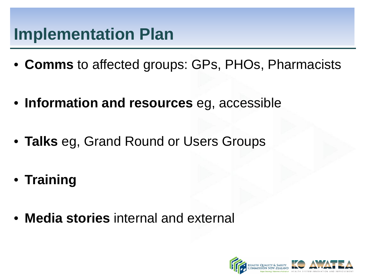### **Implementation Plan**

- **Comms** to affected groups: GPs, PHOs, Pharmacists
- **Information and resources** eg, accessible
- **Talks** eg, Grand Round or Users Groups
- **Training**
- **Media stories** internal and external

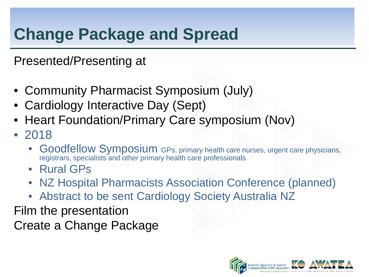## **Change Package and Spread**

Presented/Presenting at

- Community Pharmacist Symposium (July)
- Cardiology Interactive Day (Sept)
- Heart Foundation/Primary Care symposium (Nov)
- 2018
	- Goodfellow Symposium GPs, primary health care nurses, urgent care physicians, registrars, specialists and other primary health care professionals
	- Rural GPs
	- NZ Hospital Pharmacists Association Conference (planned)
	- Abstract to be sent Cardiology Society Australia NZ

Film the presentation Create a Change Package

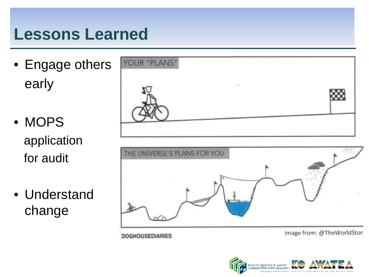### **Lessons Learned**

• Engage others early

• MOPS application for audit

• Understand change

**DOGHOUSEDIARIES** 

| YOUR "PLANS"                 |                           |  |
|------------------------------|---------------------------|--|
|                              |                           |  |
|                              |                           |  |
| THE UNIVERSE'S PLANS FOR YOU |                           |  |
|                              |                           |  |
|                              |                           |  |
|                              | Image from: @ThoWorldStor |  |

image from: @ ineworldstor